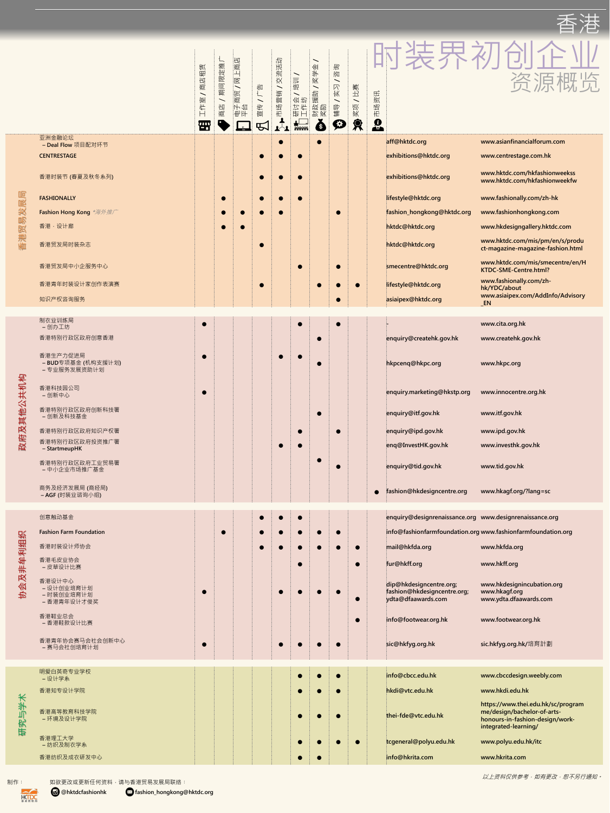|        |                                                | 祖货<br>凹<br>商<br>侧<br>作<br>$\vdash$<br><i>ա</i> ս | 推<br>宁<br>$\overline{\mathbb{R}}$<br>回<br>期<br>凹<br>恆 | 商店<br>$\Box$<br>$\mathbb{R}$<br><b>BE</b><br>商<br>N JE | $\frac{1}{2}$<br>专<br>$\bar{[}0]$ | 云<br>交流活<br>销<br>$\frac{1}{2}$<br>场<br>七 | $\overline{\phantom{0}}$<br>$\frac{1}{\sqrt{2}}$<br>坪<br>会花<br>立作<br>研 | 佣<br>笑半<br>$\frac{}{\textstyle \overline{\textstyle \bf B}}$<br>蓤<br>园<br>皮 | 回<br>凶<br>$\sqrt{}$<br>伙<br>卟<br>辅<br>$\left( 0, \frac{1}{2} \right)$ | 寒<br>$\pm$<br>项<br>实 | 资讯<br>场<br>七<br>$\frac{\theta}{\theta}$ |                                                                      |
|--------|------------------------------------------------|--------------------------------------------------|-------------------------------------------------------|--------------------------------------------------------|-----------------------------------|------------------------------------------|------------------------------------------------------------------------|-----------------------------------------------------------------------------|-----------------------------------------------------------------------|----------------------|-----------------------------------------|----------------------------------------------------------------------|
|        | 亚洲金融论坛<br>- Deal Flow 项目配对环节                   |                                                  |                                                       |                                                        |                                   | $\bullet$                                |                                                                        | O                                                                           |                                                                       |                      | aff@hktdc.org                           | www.asianfinancialforum.com                                          |
|        | <b>CENTRESTAGE</b>                             |                                                  |                                                       |                                                        | $\bullet$                         |                                          |                                                                        |                                                                             |                                                                       |                      | exhibitions@hktdc.org                   | www.centrestage.com.hk                                               |
|        | 香港时装节 (春夏及秋冬系列)                                |                                                  |                                                       |                                                        |                                   | <b>O</b>                                 | $\bullet$                                                              |                                                                             |                                                                       |                      | exhibitions@hktdc.org                   | www.hktdc.com/hkfashionweekss<br>www.hktdc.com/hkfashionweekfw       |
|        | <b>FASHIONALLY</b>                             |                                                  | $\bullet$                                             |                                                        |                                   | $\bullet \qquad \bullet \qquad \bullet$  |                                                                        |                                                                             |                                                                       |                      | lifestyle@hktdc.org                     | www.fashionally.com/zh-hk                                            |
|        | <b>Fashion Hong Kong *海外推广</b>                 |                                                  |                                                       |                                                        |                                   |                                          |                                                                        |                                                                             |                                                                       |                      | fashion_hongkong@hktdc.org              | www.fashionhongkong.com                                              |
|        | 香港·设计廊                                         |                                                  |                                                       | $\mathcal{L}(\mathcal{A})$                             |                                   |                                          |                                                                        |                                                                             |                                                                       |                      | hktdc@hktdc.org                         | www.hkdesigngallery.hktdc.com                                        |
|        | 香港贸发局时装杂志                                      |                                                  |                                                       |                                                        |                                   |                                          |                                                                        |                                                                             |                                                                       |                      | hktdc@hktdc.org                         | www.hktdc.com/mis/pm/en/s/produ<br>ct-magazine-magazine-fashion.html |
|        | 香港贸发局中小企服务中心                                   |                                                  |                                                       |                                                        |                                   |                                          |                                                                        |                                                                             |                                                                       |                      | smecentre@hktdc.org                     | www.hktdc.com/mis/smecentre/en/H<br>KTDC-SME-Centre.html?            |
|        | 香港青年时装设计家创作表演赛                                 |                                                  |                                                       |                                                        |                                   |                                          |                                                                        |                                                                             |                                                                       | O                    | lifestyle@hktdc.org                     | www.fashionally.com/zh-<br>hk/YDC/about                              |
|        | 知识产权咨询服务                                       |                                                  |                                                       |                                                        |                                   |                                          |                                                                        |                                                                             |                                                                       |                      | asiaipex@hktdc.org                      | www.asiaipex.com/AddInfo/Advisory<br>$\_EN$                          |
|        |                                                |                                                  |                                                       |                                                        |                                   |                                          |                                                                        |                                                                             |                                                                       |                      |                                         |                                                                      |
|        | 制衣业训练局<br>- 创办工坊                               |                                                  |                                                       |                                                        |                                   |                                          |                                                                        |                                                                             |                                                                       |                      |                                         | www.cita.org.hk                                                      |
|        | 香港特别行政区政府创意香港                                  |                                                  |                                                       |                                                        |                                   |                                          |                                                                        | $\bullet$                                                                   |                                                                       |                      | enquiry@createhk.gov.hk                 | www.createhk.gov.hk                                                  |
| 其他公共机构 | 香港生产力促进局<br>- BUD专项基金 (机构支援计划)<br>- 专业服务发展资助计划 |                                                  |                                                       |                                                        |                                   |                                          |                                                                        |                                                                             |                                                                       |                      | hkpcenq@hkpc.org                        | www.hkpc.org                                                         |
|        | 香港科技园公司<br>- 创新中心                              |                                                  |                                                       |                                                        |                                   |                                          |                                                                        |                                                                             |                                                                       |                      | enquiry.marketing@hkstp.org             | www.innocentre.org.hk                                                |
|        | 香港特别行政区政府创新科技署<br>- 创新及科技基金                    |                                                  |                                                       |                                                        |                                   |                                          |                                                                        | $\bullet$                                                                   |                                                                       |                      | enquiry@itf.gov.hk                      | www.itf.gov.hk                                                       |
| R      |                                                |                                                  |                                                       |                                                        |                                   |                                          |                                                                        |                                                                             |                                                                       |                      | $\mathbf{C}$ . $\mathbf{C}$             | $\bullet$ $\bullet$ $\bullet$<br>$\sim$ 2000 $\sim$ 1.41             |

| 香港特别行政区政府知识产权署                    |  |  |  | enquiry@ipd.gov.hk         | www.ipd.gov.hk         |
|-----------------------------------|--|--|--|----------------------------|------------------------|
| 香港特别行政区政府投资推广署<br>- StartmeupHK   |  |  |  | enq@InvestHK.gov.hk        | www.investhk.gov.hk    |
| 香港特别行政区政府工业贸易署<br>- 中小企业市场推广基金    |  |  |  | enquiry@tid.gov.hk         | www.tid.gov.hk         |
| 商务及经济发展局 (商经局)<br>- AGF (时装业谘询小组) |  |  |  | fashion@hkdesigncentre.org | www.hkagf.org/?lang=sc |

|              | 创意触动基金                                            |  |           | enquiry@designrenaissance.org www.designrenaissance.org                      |                                                                       |
|--------------|---------------------------------------------------|--|-----------|------------------------------------------------------------------------------|-----------------------------------------------------------------------|
| 牟利组织<br>协会及非 | <b>Fashion Farm Foundation</b>                    |  |           |                                                                              | info@fashionfarmfoundation.org www.fashionfarmfoundation.org          |
|              | 香港时装设计师协会                                         |  |           | mail@hkfda.org                                                               | www.hkfda.org                                                         |
|              | 香港毛皮业协会<br>- 皮草设计比赛                               |  | $\bullet$ | fur@hkff.org                                                                 | www.hkff.org                                                          |
|              | 香港设计中心<br>- 设计创业培育计划<br>- 时装创业培育计划<br>- 香港青年设计才俊奖 |  |           | dip@hkdesigncentre.org;<br>fashion@hkdesigncentre.org;<br>ydta@dfaawards.com | www.hkdesignincubation.org<br>www.hkagf.org<br>www.ydta.dfaawards.com |
|              | 香港鞋业总会<br>- 香港鞋款设计比赛                              |  |           | info@footwear.org.hk                                                         | www.footwear.org.hk                                                   |
|              | 香港青年协会赛马会社会创新中心<br>- 赛马会社创培育计划                    |  |           | sic@hkfyg.org.hk                                                             | sic.hkfyg.org.hk/培育計劃                                                 |

|       | 明爱白英奇专业学校<br>- 设计学系     |  | <b>Designation</b>                                                                                                   | info@cbcc.edu.hk       | www.cbccdesign.weebly.com                                                                                                    |
|-------|-------------------------|--|----------------------------------------------------------------------------------------------------------------------|------------------------|------------------------------------------------------------------------------------------------------------------------------|
|       | 香港知专设计学院                |  | <b>DESCRIPTION</b>                                                                                                   | hkdi@vtc.edu.hk        | www.hkdi.edu.hk                                                                                                              |
| 研究与学术 | 香港高等教育科技学院<br>- 环境及设计学院 |  |                                                                                                                      | thei-fde@vtc.edu.hk    | https://www.thei.edu.hk/sc/program<br>me/design/bachelor-of-arts-<br>honours-in-fashion-design/work-<br>integrated-learning/ |
|       | 香港理工大学<br>- 纺织及制衣学系     |  | <u> Indian Communication Communication Communication Communication Communication Communication Communication Com</u> | tcgeneral@polyu.edu.hk | www.polyu.edu.hk/itc                                                                                                         |
|       | 香港纺织及成衣研发中心             |  |                                                                                                                      | info@hkrita.com        | www.hkrita.com                                                                                                               |

以上资料仅供参考,如有更改,恕不另行通知。

制作: 如欲更改或更新任何资料,请与香港贸易发展局联络: